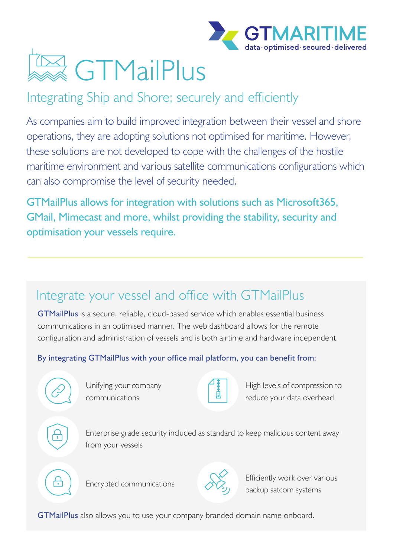



### Integrating Ship and Shore; securely and efficiently

As companies aim to build improved integration between their vessel and shore operations, they are adopting solutions not optimised for maritime. However, these solutions are not developed to cope with the challenges of the hostile maritime environment and various satellite communications configurations which can also compromise the level of security needed.

GTMailPlus allows for integration with solutions such as Microsoft365, GMail, Mimecast and more, whilst providing the stability, security and optimisation your vessels require.

## Integrate your vessel and office with GTMailPlus

GTMailPlus is a secure, reliable, cloud-based service which enables essential business communications in an optimised manner. The web dashboard allows for the remote configuration and administration of vessels and is both airtime and hardware independent.

#### By integrating GTMailPlus with your office mail platform, you can benefit from:



Unifying your company communications



High levels of compression to reduce your data overhead



Enterprise grade security included as standard to keep malicious content away from your vessels





Encrypted communications Encrypted communications backup satcom systems

GTMailPlus also allows you to use your company branded domain name onboard.